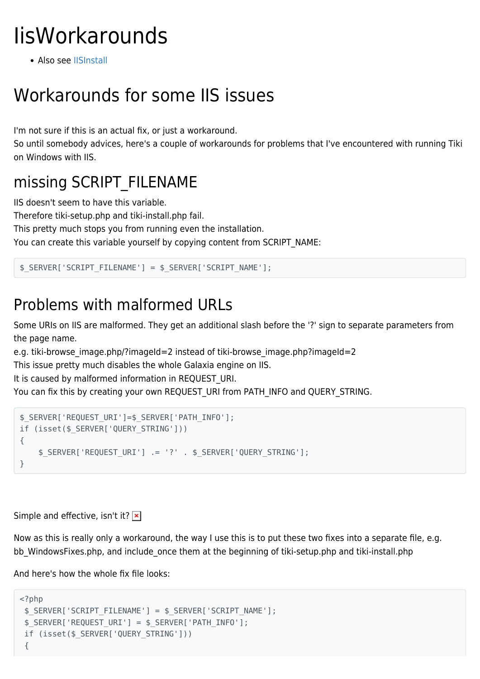# **IisWorkarounds**

• Also see [IISInstall](https://tiki.org/IisInstall)

## Workarounds for some IIS issues

I'm not sure if this is an actual fix, or just a workaround.

So until somebody advices, here's a couple of workarounds for problems that I've encountered with running Tiki on Windows with IIS.

### missing SCRIPT\_FILENAME

IIS doesn't seem to have this variable.

Therefore tiki-setup.php and tiki-install.php fail.

This pretty much stops you from running even the installation.

You can create this variable yourself by copying content from SCRIPT\_NAME:

```
$_SERVER['SCRIPT_FILENAME'] = $_SERVER['SCRIPT_NAME'];
```
### Problems with malformed URLs

Some URIs on IIS are malformed. They get an additional slash before the '?' sign to separate parameters from the page name.

e.g. tiki-browse image.php/?imageId=2 instead of tiki-browse image.php?imageId=2

This issue pretty much disables the whole Galaxia engine on IIS.

It is caused by malformed information in REQUEST URI.

You can fix this by creating your own REQUEST\_URI from PATH\_INFO and QUERY\_STRING.

```
$_SERVER['REQUEST_URI']=$_SERVER['PATH_INFO'];
if (isset($_SERVER['QUERY_STRING']))
{
     $_SERVER['REQUEST_URI'] .= '?' . $_SERVER['QUERY_STRING'];
}
```
Simple and effective, isn't it?  $\vert \mathbf{x} \vert$ 

Now as this is really only a workaround, the way I use this is to put these two fixes into a separate file, e.g. bb WindowsFixes.php, and include once them at the beginning of tiki-setup.php and tiki-install.php

And here's how the whole fix file looks:

```
<?php
  $_SERVER['SCRIPT_FILENAME'] = $_SERVER['SCRIPT_NAME'];
  $_SERVER['REQUEST_URI'] = $_SERVER['PATH_INFO'];
  if (isset($_SERVER['QUERY_STRING']))
  {
```